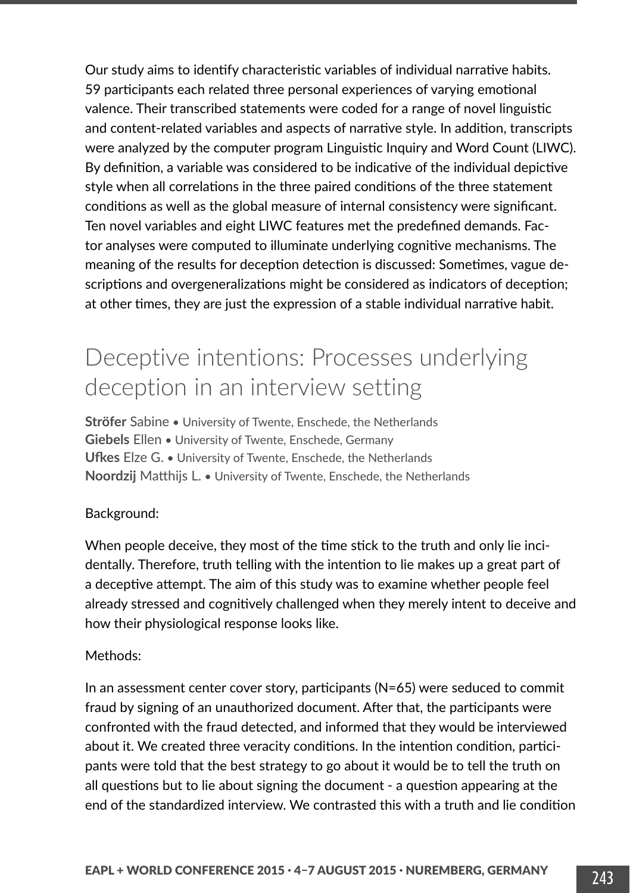Our study aims to identify characteristic variables of individual narrative habits. 59 participants each related three personal experiences of varying emotional valence. Their transcribed statements were coded for a range of novel linguistic and content-related variables and aspects of narrative style. In addition, transcripts were analyzed by the computer program Linguistic Inquiry and Word Count (LIWC). By definition, a variable was considered to be indicative of the individual depictive style when all correlations in the three paired conditions of the three statement conditions as well as the global measure of internal consistency were significant. Ten novel variables and eight LIWC features met the predefined demands. Factor analyses were computed to illuminate underlying cognitive mechanisms. The meaning of the results for deception detection is discussed: Sometimes, vague descriptions and overgeneralizations might be considered as indicators of deception; at other times, they are just the expression of a stable individual narrative habit.

# Deceptive intentions: Processes underlying deception in an interview setting

**Ströfer** Sabine • University of Twente, Enschede, the Netherlands **Giebels** Ellen • University of Twente, Enschede, Germany **Ufkes** Elze G. • University of Twente, Enschede, the Netherlands **Noordzij** Matthijs L. • University of Twente, Enschede, the Netherlands

# Background:

When people deceive, they most of the time stick to the truth and only lie incidentally. Therefore, truth telling with the intention to lie makes up a great part of a deceptive attempt. The aim of this study was to examine whether people feel already stressed and cognitively challenged when they merely intent to deceive and how their physiological response looks like.

# Methods:

In an assessment center cover story, participants (N=65) were seduced to commit fraud by signing of an unauthorized document. After that, the participants were confronted with the fraud detected, and informed that they would be interviewed about it. We created three veracity conditions. In the intention condition, participants were told that the best strategy to go about it would be to tell the truth on all questions but to lie about signing the document - a question appearing at the end of the standardized interview. We contrasted this with a truth and lie condition